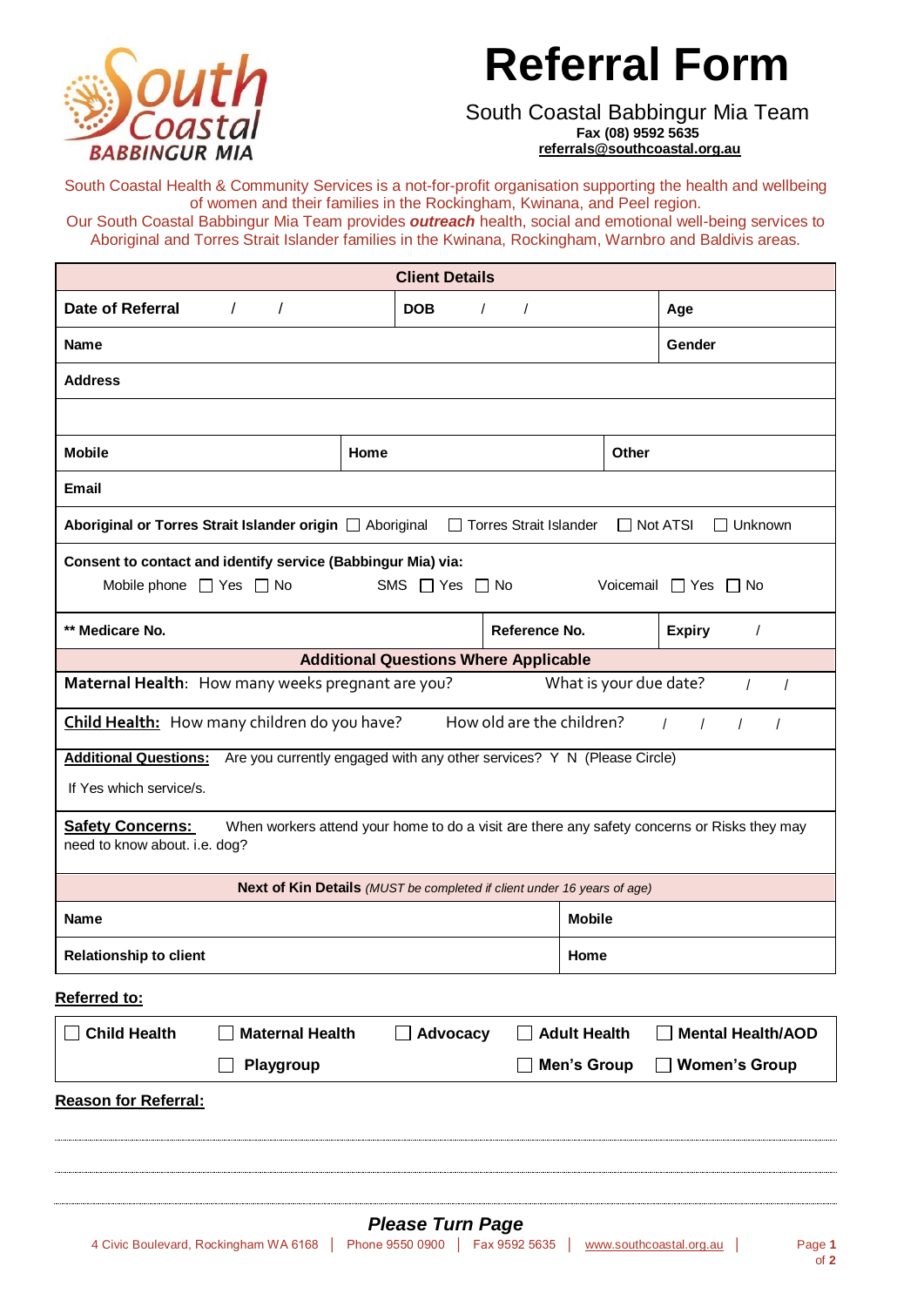## **Referral Form**



## South Coastal Babbingur Mia Team **Fax (08) 9592 5635 [referrals@southcoastal.org.au](mailto:referrals@southcoastal.org.au)**

South Coastal Health & Community Services is a not-for-profit organisation supporting the health and wellbeing of women and their families in the Rockingham, Kwinana, and Peel region.

Our South Coastal Babbingur Mia Team provides *outreach* health, social and emotional well-being services to Aboriginal and Torres Strait Islander families in the Kwinana, Rockingham, Warnbro and Baldivis areas.

| <b>Client Details</b>                                                                                                           |                 |                         |                        |                         |                                                                                             |  |  |
|---------------------------------------------------------------------------------------------------------------------------------|-----------------|-------------------------|------------------------|-------------------------|---------------------------------------------------------------------------------------------|--|--|
| Date of Referral<br>$\sqrt{2}$<br>$\prime$                                                                                      |                 | <b>DOB</b>              | $\prime$<br>$\sqrt{2}$ |                         | Age                                                                                         |  |  |
| <b>Name</b>                                                                                                                     |                 |                         |                        |                         | Gender                                                                                      |  |  |
| <b>Address</b>                                                                                                                  |                 |                         |                        |                         |                                                                                             |  |  |
|                                                                                                                                 |                 |                         |                        |                         |                                                                                             |  |  |
| <b>Mobile</b>                                                                                                                   | Home            |                         |                        |                         | <b>Other</b>                                                                                |  |  |
| <b>Email</b>                                                                                                                    |                 |                         |                        |                         |                                                                                             |  |  |
| Aboriginal or Torres Strait Islander origin [ Aboriginal<br>□ Torres Strait Islander<br>$\Box$ Not ATSI<br>$\Box$ Unknown       |                 |                         |                        |                         |                                                                                             |  |  |
| Consent to contact and identify service (Babbingur Mia) via:                                                                    |                 |                         |                        |                         |                                                                                             |  |  |
| Mobile phone $\Box$ Yes $\Box$ No<br>SMS $\Box$ Yes $\Box$ No<br>Voicemail Yes No                                               |                 |                         |                        |                         |                                                                                             |  |  |
| ** Medicare No.                                                                                                                 |                 |                         | Reference No.          |                         | <b>Expiry</b><br>$\prime$                                                                   |  |  |
| <b>Additional Questions Where Applicable</b>                                                                                    |                 |                         |                        |                         |                                                                                             |  |  |
| Maternal Health: How many weeks pregnant are you?<br>What is your due date?<br>$\prime$<br>$\prime$                             |                 |                         |                        |                         |                                                                                             |  |  |
| How old are the children?<br>Child Health: How many children do you have?<br>$\overline{1}$<br>$\prime$<br>$\prime$<br>$\prime$ |                 |                         |                        |                         |                                                                                             |  |  |
| Additional Questions: Are you currently engaged with any other services? Y N (Please Circle)                                    |                 |                         |                        |                         |                                                                                             |  |  |
| If Yes which service/s.                                                                                                         |                 |                         |                        |                         |                                                                                             |  |  |
| <b>Safety Concerns:</b><br>need to know about. i.e. dog?                                                                        |                 |                         |                        |                         | When workers attend your home to do a visit are there any safety concerns or Risks they may |  |  |
| Next of Kin Details (MUST be completed if client under 16 years of age)                                                         |                 |                         |                        |                         |                                                                                             |  |  |
| <b>Name</b>                                                                                                                     |                 |                         |                        | <b>Mobile</b>           |                                                                                             |  |  |
| <b>Relationship to client</b>                                                                                                   |                 |                         |                        | Home                    |                                                                                             |  |  |
| Referred to:                                                                                                                    |                 |                         |                        |                         |                                                                                             |  |  |
| <b>Child Health</b><br><b>Maternal Health</b><br><b>Mental Health/AOD</b><br>Advocacy<br><b>Adult Health</b>                    |                 |                         |                        |                         |                                                                                             |  |  |
| <b>Men's Group</b><br><b>Women's Group</b><br><b>Playgroup</b>                                                                  |                 |                         |                        |                         |                                                                                             |  |  |
| <b>Reason for Referral:</b>                                                                                                     |                 |                         |                        |                         |                                                                                             |  |  |
| 4 Civic Boulevard, Rockingham WA 6168                                                                                           | Phone 9550 0900 | <b>Please Turn Page</b> | Fax 9592 5635          | www.southcoastal.org.au | Page 1                                                                                      |  |  |